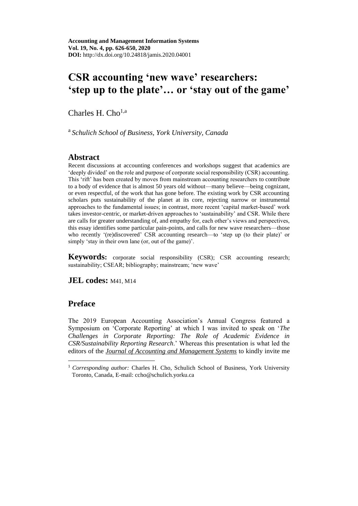# **CSR accounting 'new wave' researchers: 'step up to the plate'… or 'stay out of the game'**

Charles H.  $Cho<sup>1,a</sup>$ 

a *Schulich School of Business, York University, Canada*

### **Abstract**

Recent discussions at accounting conferences and workshops suggest that academics are 'deeply divided' on the role and purpose of corporate social responsibility (CSR) accounting. This 'rift' has been created by moves from mainstream accounting researchers to contribute to a body of evidence that is almost 50 years old without—many believe—being cognizant, or even respectful, of the work that has gone before. The existing work by CSR accounting scholars puts sustainability of the planet at its core, rejecting narrow or instrumental approaches to the fundamental issues; in contrast, more recent 'capital market-based' work takes investor-centric, or market-driven approaches to 'sustainability' and CSR. While there are calls for greater understanding of, and empathy for, each other's views and perspectives, this essay identifies some particular pain-points, and calls for new wave researchers—those who recently '(re)discovered' CSR accounting research—to 'step up (to their plate)' or simply 'stay in their own lane (or, out of the game)'.

**Keywords:** corporate social responsibility (CSR); CSR accounting research; sustainability; CSEAR; bibliography; mainstream; 'new wave'

**JEL codes:** M41, M14

### **Preface**

The 2019 European Accounting Association's Annual Congress featured a Symposium on 'Corporate Reporting' at which I was invited to speak on '*The Challenges in Corporate Reporting: The Role of Academic Evidence in CSR/Sustainability Reporting Research*.' Whereas this presentation is what led the editors of the *[Journal of Accounting and Management Systems](https://jamis.ase.ro/)* to kindly invite me

<sup>&</sup>lt;sup>1</sup> *Corresponding author:* Charles H. Cho, Schulich School of Business, York University Toronto, Canada, E-mail[: ccho@schulich.yorku.ca](mailto:ccho@schulich.yorku.ca)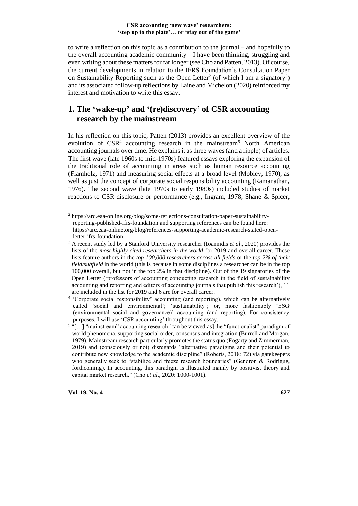to write a reflection on this topic as a contribution to the journal – and hopefully to the overall accounting academic community—I have been thinking, struggling and even writing about these matters for far longer (see Cho and Patten, 2013). Of course, the current developments in relation to the IFRS Foundation's [Consultation Paper](https://cdn.ifrs.org/-/media/project/sustainability-reporting/consultation-paper-on-sustainability-reporting.pdf?la=en)  [on Sustainability Reporting](https://cdn.ifrs.org/-/media/project/sustainability-reporting/consultation-paper-on-sustainability-reporting.pdf?la=en) such as the [Open Letter](https://arc.eaa-online.org/blog/open-letter-chair-ifrs-foundation-trustees)<sup>2</sup> (of which I am a signatory<sup>3</sup>) and its associated follow-u[p reflections](https://arc.eaa-online.org/blog/some-reflections-consultation-paper-sustainability-reporting-published-ifrs-foundation) by Laine and Michelon (2020) reinforced my interest and motivation to write this essay.

## **1. The 'wake-up' and '(re)discovery' of CSR accounting research by the mainstream**

In his reflection on this topic, Patten (2013) provides an excellent overview of the evolution of  $CSR<sup>4</sup>$  accounting research in the mainstream<sup>5</sup> North American accounting journals over time. He explains it as three waves (and a ripple) of articles. The first wave (late 1960s to mid-1970s) featured essays exploring the expansion of the traditional role of accounting in areas such as human resource accounting (Flamholz, 1971) and measuring social effects at a broad level (Mobley, 1970), as well as just the concept of corporate social responsibility accounting (Ramanathan, 1976). The second wave (late 1970s to early 1980s) included studies of market reactions to CSR disclosure or performance (e.g., Ingram, 1978; Shane & Spicer,

<sup>2</sup> [https://arc.eaa-online.org/blog/some-reflections-consultation-paper-sustainability](https://arc.eaa-online.org/blog/some-reflections-consultation-paper-sustainability-reporting-published-ifrs-foundation)[reporting-published-ifrs-foundation](https://arc.eaa-online.org/blog/some-reflections-consultation-paper-sustainability-reporting-published-ifrs-foundation) and supporting references can be found here: [https://arc.eaa-online.org/blog/references-supporting-academic-research-stated-open](https://arc.eaa-online.org/blog/references-supporting-academic-research-stated-open-letter-ifrs-foundation)[letter-ifrs-foundation.](https://arc.eaa-online.org/blog/references-supporting-academic-research-stated-open-letter-ifrs-foundation)

<sup>3</sup> A recen[t study](https://journals.plos.org/plosbiology/article?id=10.1371/journal.pbio.3000918) led by a Stanford University researcher (Ioannidis *et al*., 2020) provides the lists of the *most highly cited researchers in the world* for 2019 and overall career. These lists feature authors in the *top 100,000 researchers across all fields* or the *top 2% of their field/subfield* in the world (this is because in some disciplines a researcher can be in the top 100,000 overall, but not in the top 2% in that discipline). Out of the 19 signatories of the [Open Letter](https://arc.eaa-online.org/blog/open-letter-chair-ifrs-foundation-trustees) ('professors of accounting conducting research in the field of sustainability accounting and reporting and editors of accounting journals that publish this research'), 11 are included in the list for 2019 and 6 are for overall career.

<sup>4</sup> 'Corporate social responsibility' accounting (and reporting), which can be alternatively called 'social and environmental'; 'sustainability'; or, more fashionably 'ESG (environmental social and governance)' accounting (and reporting). For consistency purposes, I will use 'CSR accounting' throughout this essay.

<sup>&</sup>lt;sup>5</sup> "[...] "mainstream" accounting research [can be viewed as] the "functionalist" paradigm of world phenomena, supporting social order, consensus and integration (Burrell and Morgan, 1979). Mainstream research particularly promotes the status quo (Fogarty and Zimmerman, 2019) and (consciously or not) disregards "alternative paradigms and their potential to contribute new knowledge to the academic discipline" (Roberts, 2018: 72) via gatekeepers who generally seek to "stabilize and freeze research boundaries" (Gendron & Rodrigue, forthcoming). In accounting, this paradigm is illustrated mainly by positivist theory and capital market research." (Cho *et al*., 2020: 1000-1001).

**Vol. 19, No. 4 627**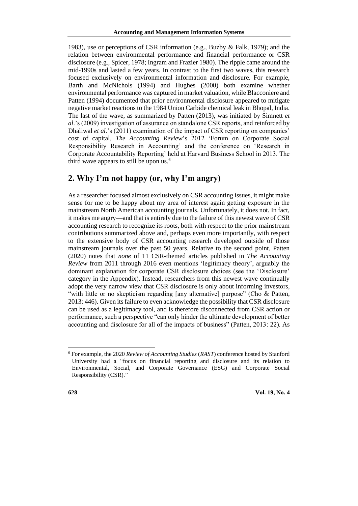1983), use or perceptions of CSR information (e.g., Buzby & Falk, 1979); and the relation between environmental performance and financial performance or CSR disclosure (e.g., Spicer, 1978; Ingram and Frazier 1980). The ripple came around the mid-1990s and lasted a few years. In contrast to the first two waves, this research focused exclusively on environmental information and disclosure. For example, Barth and McNichols (1994) and Hughes (2000) both examine whether environmental performance was captured in market valuation, while Blacconiere and Patten (1994) documented that prior environmental disclosure appeared to mitigate negative market reactions to the 1984 Union Carbide chemical leak in Bhopal, India. The last of the wave, as summarized by Patten (2013), was initiated by Simnett *et al*.'s (2009) investigation of assurance on standalone CSR reports, and reinforced by Dhaliwal *et al*.'s (2011) examination of the impact of CSR reporting on companies' cost of capital, *The Accounting Review*'s 2012 'Forum on Corporate Social Responsibility Research in Accounting' and the conference on 'Research in Corporate Accountability Reporting' held at Harvard Business School in 2013. The third wave appears to still be upon us.<sup>6</sup>

### **2. Why I'm not happy (or, why I'm angry)**

As a researcher focused almost exclusively on CSR accounting issues, it might make sense for me to be happy about my area of interest again getting exposure in the mainstream North American accounting journals. Unfortunately, it does not. In fact, it makes me angry—and that is entirely due to the failure of this newest wave of CSR accounting research to recognize its roots, both with respect to the prior mainstream contributions summarized above and, perhaps even more importantly, with respect to the extensive body of CSR accounting research developed outside of those mainstream journals over the past 50 years. Relative to the second point, Patten (2020) notes that *none* of 11 CSR-themed articles published in *The Accounting Review* from 2011 through 2016 even mentions 'legitimacy theory', arguably the dominant explanation for corporate CSR disclosure choices (see the 'Disclosure' category in the Appendix). Instead, researchers from this newest wave continually adopt the very narrow view that CSR disclosure is only about informing investors, "with little or no skepticism regarding [any alternative] purpose" (Cho & Patten, 2013: 446). Given its failure to even acknowledge the possibility that CSR disclosure can be used as a legitimacy tool, and is therefore disconnected from CSR action or performance, such a perspective "can only hinder the ultimate development of better accounting and disclosure for all of the impacts of business" (Patten, 2013: 22). As

<sup>6</sup> For example, the 2020 *Review of Accounting Studies* (*RAST*) conference hosted by Stanford University had a "focus on financial reporting and disclosure and its relation to Environmental, Social, and Corporate Governance (ESG) and Corporate Social Responsibility (CSR)."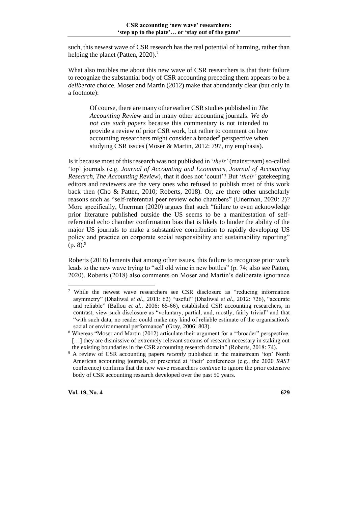such, this newest wave of CSR research has the real potential of harming, rather than helping the planet (Patten,  $2020$ ).<sup>7</sup>

What also troubles me about this new wave of CSR researchers is that their failure to recognize the substantial body of CSR accounting preceding them appears to be a *deliberate* choice. Moser and Martin (2012) make that abundantly clear (but only in a footnote):

Of course, there are many other earlier CSR studies published in *The Accounting Review* and in many other accounting journals. *We do not cite such papers* because this commentary is not intended to provide a review of prior CSR work, but rather to comment on how accounting researchers might consider a broader<sup>8</sup> perspective when studying CSR issues (Moser & Martin, 2012: 797, my emphasis).

Is it because most of this research was not published in '*their'* (mainstream) so-called 'top' journals (e.g. *Journal of Accounting and Economics*, *Journal of Accounting Research*, *The Accounting Review*), that it does not 'count'? But '*their'* gatekeeping editors and reviewers are the very ones who refused to publish most of this work back then (Cho & Patten, 2010; Roberts, 2018). Or, are there other unscholarly reasons such as "self-referential peer review echo chambers" (Unerman, 2020: 2)? More specifically, Unerman (2020) argues that such "failure to even acknowledge prior literature published outside the US seems to be a manifestation of selfreferential echo chamber confirmation bias that is likely to hinder the ability of the major US journals to make a substantive contribution to rapidly developing US policy and practice on corporate social responsibility and sustainability reporting"  $(p. 8)^9$ 

Roberts (2018) laments that among other issues, this failure to recognize prior work leads to the new wave trying to "sell old wine in new bottles" (p. 74; also see Patten, 2020). Roberts (2018) also comments on Moser and Martin's deliberate ignorance

<sup>7</sup> While the newest wave researchers see CSR disclosure as "reducing information asymmetry" (Dhaliwal *et al*., 2011: 62) "useful" (Dhaliwal *et al*., 2012: 726), "accurate and reliable" (Ballou *et al*., 2006: 65-66), established CSR accounting researchers, in contrast, view such disclosure as "voluntary, partial, and, mostly, fairly trivial" and that "with such data, no reader could make any kind of reliable estimate of the organisation's social or environmental performance" (Gray, 2006: 803).

<sup>8</sup> Whereas "Moser and Martin (2012) articulate their argument for a ''broader" perspective, [...] they are dismissive of extremely relevant streams of research necessary in staking out the existing boundaries in the CSR accounting research domain" (Roberts, 2018: 74).

<sup>&</sup>lt;sup>9</sup> A review of CSR accounting papers *recently* published in the mainstream 'top' North American accounting journals, or presented at 'their' conferences (e.g., the 2020 *RAST* conference) confirms that the new wave researchers *continue* to ignore the prior extensive body of CSR accounting research developed over the past 50 years.

**Vol. 19, No. 4 629**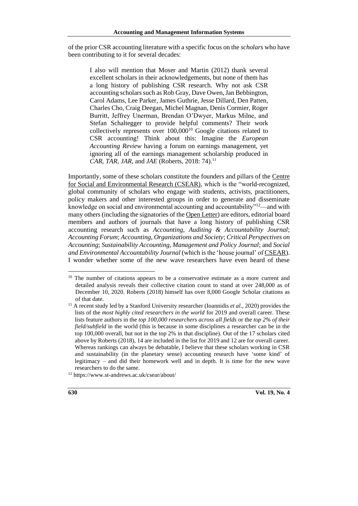of the prior CSR accounting literature with a specific focus on the *scholars* who have been contributing to it for several decades:

I also will mention that Moser and Martin (2012) thank several excellent scholars in their acknowledgements, but none of them has a long history of publishing CSR research. Why not ask CSR accounting scholars such as Rob Gray, Dave Owen, Jan Bebbington, Carol Adams, Lee Parker, James Guthrie, Jesse Dillard, Den Patten, Charles Cho, Craig Deegan, Michel Magnan, Denis Cormier, Roger Burritt, Jeffrey Unerman, Brendan O'Dwyer, Markus Milne, and Stefan Schaltegger to provide helpful comments? Their work collectively represents over  $100,000^{10}$  Google citations related to CSR accounting! Think about this: Imagine the *European Accounting Review* having a forum on earnings management, yet ignoring all of the earnings management scholarship produced in *CAR*, *TAR*, *JAR*, and *JAE* (Roberts, 2018: 74).<sup>11</sup>

Importantly, some of these scholars constitute the founders and pillars of the [Centre](https://www.st-andrews.ac.uk/csear/)  [for Social and Environmental Research \(CSEAR\),](https://www.st-andrews.ac.uk/csear/) which is the "world-recognized, global community of scholars who engage with students, activists, practitioners, policy makers and other interested groups in order to generate and disseminate knowledge on social and environmental accounting and accountability"<sup>12</sup>—and with many others (including the signatories of th[e Open Letter\)](https://arc.eaa-online.org/blog/open-letter-chair-ifrs-foundation-trustees) are editors, editorial board members and authors of journals that have a long history of publishing CSR accounting research such as *Accounting, Auditing & Accountability Journal*; *Accounting Forum*; *Accounting, Organizations and Society*; *Critical Perspectives on Accounting*; *Sustainability Accounting, Management and Policy Journal*; and *Social and Environmental Accountability Journal* (which isthe 'house journal' of [CSEAR\)](https://www.st-andrews.ac.uk/csear/). I wonder whether some of the new wave researchers have even heard of these

<sup>&</sup>lt;sup>10</sup> The number of citations appears to be a conservative estimate as a more current and detailed analysis reveals their collective citation count to stand at over 248,000 as of December 10, 2020. Roberts (2018) himself has over 8,000 Google Scholar citations as of that date.

<sup>11</sup> A recen[t study](https://journals.plos.org/plosbiology/article?id=10.1371/journal.pbio.3000918) led by a Stanford University researcher (Ioannidis *et al*., 2020) provides the lists of the *most highly cited researchers in the world* for 2019 and overall career. These lists feature authors in the *top 100,000 researchers across all fields* or the *top 2% of their field/subfield* in the world (this is because in some disciplines a researcher can be in the top 100,000 overall, but not in the top 2% in that discipline). Out of the 17 scholars cited above by Roberts (2018), 14 are included in the list for 2019 and 12 are for overall career. Whereas rankings can always be debatable, I believe that these scholars working in CSR and sustainability (in the planetary sense) accounting research have 'some kind' of legitimacy – and did their homework well and in depth. It is time for the new wave researchers to do the same.

<sup>12</sup> <https://www.st-andrews.ac.uk/csear/about/>

**<sup>630</sup> Vol. 19, No. 4**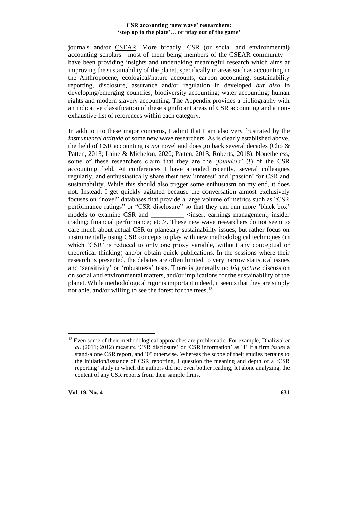journals and/or [CSEAR.](https://www.st-andrews.ac.uk/csear/) More broadly, CSR (or social and environmental) accounting scholars—most of them being members of the CSEAR community have been providing insights and undertaking meaningful research which aims at improving the sustainability of the planet, specifically in areas such as accounting in the Anthropocene; ecological/nature accounts; carbon accounting; sustainability reporting, disclosure, assurance and/or regulation in developed *but also* in developing/emerging countries; biodiversity accounting; water accounting; human rights and modern slavery accounting. The Appendix provides a bibliography with an indicative classification of these significant areas of CSR accounting and a nonexhaustive list of references within each category.

In addition to these major concerns, I admit that I am also very frustrated by the *instrumental attitude* of some new wave researchers. As is clearly established above, the field of CSR accounting is *not* novel and does go back several decades (Cho & Patten, 2013; Laine & Michelon, 2020; Patten, 2013; Roberts, 2018). Nonetheless, some of these researchers claim that they are the '*founders'* (!) of the CSR accounting field. At conferences I have attended recently, several colleagues regularly, and enthusiastically share their new 'interest' and 'passion' for CSR and sustainability. While this should also trigger some enthusiasm on my end, it does not. Instead, I get quickly agitated because the conversation almost exclusively focuses on "novel" databases that provide a large volume of metrics such as "CSR performance ratings" or "CSR disclosure" so that they can run more 'black box' models to examine CSR and  $\leq$  insert earnings management; insider trading; financial performance; etc.>. These new wave researchers do not seem to care much about actual CSR or planetary sustainability issues, but rather focus on instrumentally using CSR concepts to play with new methodological techniques (in which 'CSR' is reduced to only one proxy variable, without any conceptual or theoretical thinking) and/or obtain quick publications. In the sessions where their research is presented, the debates are often limited to very narrow statistical issues and 'sensitivity' or 'robustness' tests. There is generally no *big picture* discussion on social and environmental matters, and/or implications for the sustainability of the planet. While methodological rigor is important indeed, it seems that they are simply not able, and/or willing to see the forest for the trees.<sup>13</sup>

<sup>13</sup> Even some of their methodological approaches are problematic. For example, Dhaliwal *et al*. (2011; 2012) measure 'CSR disclosure' or 'CSR information' as '1' if a firm *issues* a stand-alone CSR report, and '0' otherwise. Whereas the scope of their studies pertains to the initiation/issuance of CSR reporting, I question the meaning and depth of a 'CSR reporting' study in which the authors did not even bother reading, let alone analyzing, the content of any CSR reports from their sample firms.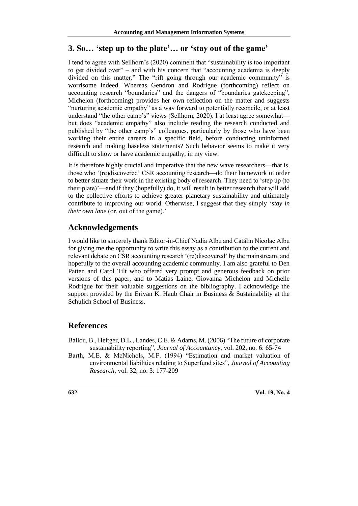### **3. So… 'step up to the plate'… or 'stay out of the game'**

I tend to agree with Sellhorn's (2020) comment that "sustainability is too important to get divided over" – and with his concern that "accounting academia is deeply divided on this matter." The "rift going through our academic community" is worrisome indeed. Whereas Gendron and Rodrigue (forthcoming) reflect on accounting research "boundaries" and the dangers of "boundaries gatekeeping", Michelon (forthcoming) provides her own reflection on the matter and suggests "nurturing academic empathy" as a way forward to potentially reconcile, or at least understand "the other camp's" views (Sellhorn, 2020). I at least agree somewhat but does "academic empathy" also include reading the research conducted and published by "the other camp's" colleagues, particularly by those who have been working their entire careers in a specific field, before conducting uninformed research and making baseless statements? Such behavior seems to make it very difficult to show or have academic empathy, in my view.

It is therefore highly crucial and imperative that the new wave researchers—that is, those who '(re)discovered' CSR accounting research—do their homework in order to better situate their work in the existing body of research. They need to 'step up (to their plate)'—and if they (hopefully) do, it will result in better research that will add to the collective efforts to achieve greater planetary sustainability and ultimately contribute to improving our world. Otherwise, I suggest that they simply '*stay in their own lane* (or, out of the game).'

### **Acknowledgements**

I would like to sincerely thank Editor-in-Chief Nadia Albu and Cătălin Nicolae Albu for giving me the opportunity to write this essay as a contribution to the current and relevant debate on CSR accounting research '(re)discovered' by the mainstream, and hopefully to the overall accounting academic community. I am also grateful to Den Patten and Carol Tilt who offered very prompt and generous feedback on prior versions of this paper, and to Matias Laine, Giovanna Michelon and Michelle Rodrigue for their valuable suggestions on the bibliography. I acknowledge the support provided by the Erivan K. Haub Chair in Business & Sustainability at the Schulich School of Business.

### **References**

- Ballou, B., Heitger, D.L., Landes, C.E. & Adams, M. (2006) "The future of corporate sustainability reporting", *Journal of Accountancy*, vol. 202, no. 6: 65-74
- Barth, M.E. & McNichols, M.F. (1994) "Estimation and market valuation of environmental liabilities relating to Superfund sites", *Journal of Accounting Research*, vol. 32, no. 3: 177-209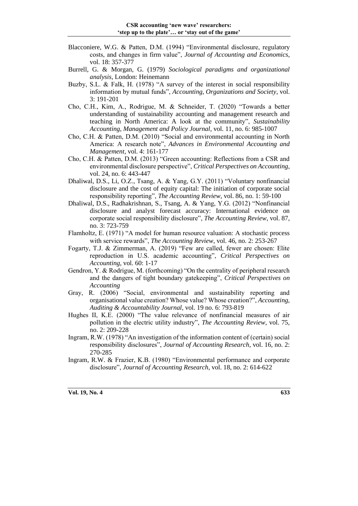- Blacconiere, W.G. & Patten, D.M. (1994) "Environmental disclosure, regulatory costs, and changes in firm value", *Journal of Accounting and Economics*, vol. 18: 357-377
- Burrell, G. & Morgan, G. (1979) *Sociological paradigms and organizational analysis*, London: Heinemann
- Buzby, S.L. & Falk, H. (1978) "A survey of the interest in social responsibility information by mutual funds", *Accounting, Organizations and Society*, vol. 3: 191-201
- Cho, C.H., Kim, A., Rodrigue, M. & Schneider, T. (2020) "Towards a better understanding of sustainability accounting and management research and teaching in North America: A look at the community", *Sustainability Accounting, Management and Policy Journal*, vol. 11, no. 6: 985-1007
- Cho, C.H. & Patten, D.M. (2010) "Social and environmental accounting in North America: A research note", *Advances in Environmental Accounting and Management*, vol. 4: 161-177
- Cho, C.H. & Patten, D.M. (2013) "Green accounting: Reflections from a CSR and environmental disclosure perspective", *Critical Perspectives on Accounting*, vol. 24, no. 6: 443-447
- Dhaliwal, D.S., Li, O.Z., Tsang, A. & Yang, G.Y. (2011) "Voluntary nonfinancial disclosure and the cost of equity capital: The initiation of corporate social responsibility reporting", *The Accounting Review*, vol. 86, no. 1: 59-100
- Dhaliwal, D.S., Radhakrishnan, S., Tsang, A. & Yang, Y.G. (2012) "Nonfinancial disclosure and analyst forecast accuracy: International evidence on corporate social responsibility disclosure", *The Accounting Review*, vol. 87, no. 3: 723-759
- Flamholtz, E. (1971) "A model for human resource valuation: A stochastic process with service rewards", *The Accounting Review*, vol. 46, no. 2: 253-267
- Fogarty, T.J. & Zimmerman, A. (2019) "Few are called, fewer are chosen: Elite reproduction in U.S. academic accounting", *Critical Perspectives on Accounting*, vol. 60: 1-17
- Gendron, Y. & Rodrigue, M. (forthcoming) "On the centrality of peripheral research and the dangers of tight boundary gatekeeping", *Critical Perspectives on Accounting*
- Gray, R. (2006) "Social, environmental and sustainability reporting and organisational value creation? Whose value? Whose creation?", *Accounting, Auditing & Accountability Journal*, vol. 19 no. 6: 793-819
- Hughes II, K.E. (2000) "The value relevance of nonfinancial measures of air pollution in the electric utility industry", *The Accounting Review*, vol. 75, no. 2: 209-228
- Ingram, R.W. (1978) "An investigation of the information content of (certain) social responsibility disclosures", *Journal of Accounting Research*, vol. 16, no. 2: 270-285
- Ingram, R.W. & Frazier, K.B. (1980) "Environmental performance and corporate disclosure", *Journal of Accounting Research*, vol. 18, no. 2: 614-622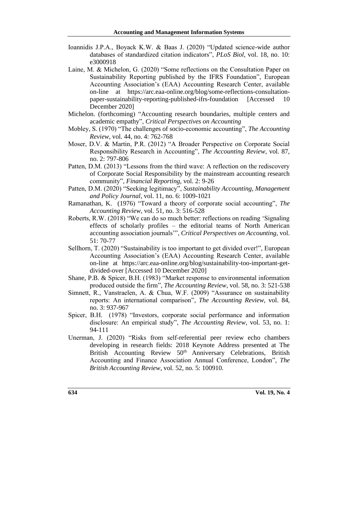- Ioannidis J.P.A., Boyack K.W. & Baas J. (2020) "Updated science-wide author databases of standardized citation indicators", *PLoS Biol*, vol. 18, no. 10: e3000918
- Laine, M. & Michelon, G. (2020) "Some reflections on the Consultation Paper on Sustainability Reporting published by the IFRS Foundation", European Accounting Association's (EAA) Accounting Research Center, available on-line at [https://arc.eaa-online.org/blog/some-reflections-consultation](https://arc.eaa-online.org/blog/some-reflections-consultation-paper-sustainability-reporting-published-ifrs-foundation)[paper-sustainability-reporting-published-ifrs-foundation](https://arc.eaa-online.org/blog/some-reflections-consultation-paper-sustainability-reporting-published-ifrs-foundation) [Accessed 10 December 2020]
- Michelon. (forthcoming) "Accounting research boundaries, multiple centers and academic empathy", *Critical Perspectives on Accounting*
- Mobley, S. (1970) "The challenges of socio-economic accounting", *The Accounting Review*, vol. 44, no. 4: 762-768
- Moser, D.V. & Martin, P.R. (2012) "A Broader Perspective on Corporate Social Responsibility Research in Accounting", *The Accounting Review*, vol. 87, no. 2: 797-806
- Patten, D.M. (2013) "Lessons from the third wave: A reflection on the rediscovery of Corporate Social Responsibility by the mainstream accounting research community", *Financial Reporting*, vol. 2: 9-26
- Patten, D.M. (2020) "Seeking legitimacy", *Sustainability Accounting, Management and Policy Journal*, vol. 11, no. 6: 1009-1021
- Ramanathan, K. (1976) "Toward a theory of corporate social accounting", *The Accounting Review*, vol. 51, no. 3: 516-528
- Roberts, R.W. (2018) "We can do so much better: reflections on reading 'Signaling effects of scholarly profiles – the editorial teams of North American accounting association journals'", *Critical Perspectives on Accounting*, vol. 51: 70-77
- Sellhorn, T. (2020) "Sustainability is too important to get divided over!", European Accounting Association's (EAA) Accounting Research Center, available on-line at [https://arc.eaa-online.org/blog/sustainability-too-important-get](https://arc.eaa-online.org/blog/sustainability-too-important-get-divided-over)[divided-over](https://arc.eaa-online.org/blog/sustainability-too-important-get-divided-over) [Accessed 10 December 2020]
- Shane, P.B. & Spicer, B.H. (1983) "Market response to environmental information produced outside the firm", *The Accounting Review*, vol. 58, no. 3: 521-538
- Simnett, R., Vanstraelen, A. & Chua, W.F. (2009) "Assurance on sustainability reports: An international comparison", *The Accounting Review*, vol. 84, no. 3: 937-967
- Spicer, B.H. (1978) "Investors, corporate social performance and information disclosure: An empirical study", *The Accounting Review*, vol. 53, no. 1: 94-111
- Unerman, J. (2020) "Risks from self-referential peer review echo chambers developing in research fields: 2018 Keynote Address presented at The British Accounting Review 50<sup>th</sup> Anniversary Celebrations, British Accounting and Finance Association Annual Conference, London", *The British Accounting Review*, vol. 52, no. 5: 100910.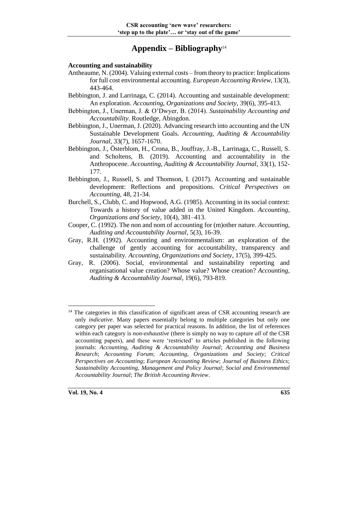### **Appendix – Bibliography**<sup>14</sup>

#### **Accounting and sustainability**

- Antheaume, N. (2004). Valuing external costs from theory to practice: Implications for full cost environmental accounting. *European Accounting Review*, 13(3), 443-464.
- Bebbington, J. and Larrinaga, C. (2014). Accounting and sustainable development: An exploration. *Accounting, Organizations and Society*, 39(6), 395-413.
- Bebbington, J., Unerman, J. & O'Dwyer, B. (2014). *Sustainability Accounting and Accountability*. Routledge, Abingdon.
- Bebbington, J., Unerman, J. (2020). Advancing research into accounting and the UN Sustainable Development Goals. *Accounting, Auditing & Accountability Journal*, 33(7), 1657-1670.
- Bebbington, J., Österblom, H., Crona, B., Jouffray, J.-B., Larrinaga, C., Russell, S. and Scholtens, B. (2019). Accounting and accountability in the Anthropocene. *Accounting, Auditing & Accountability Journal*, 33(1), 152- 177.
- Bebbington, J., Russell, S. and Thomson, I. (2017). Accounting and sustainable development: Reflections and propositions. *Critical Perspectives on Accounting,* 48, 21-34.
- Burchell, S., Clubb, C. and Hopwood, A.G. (1985). Accounting in its social context: Towards a history of value added in the United Kingdom. *Accounting, Organizations and Society*, 10(4), 381–413.
- Cooper, C. (1992). The non and nom of accounting for (m)other nature. *Accounting, Auditing and Accountability Journal*, 5(3), 16-39.
- Gray, R.H. (1992). Accounting and environmentalism: an exploration of the challenge of gently accounting for accountability, transparency and sustainability*. Accounting, Organizations and Society*, 17(5), 399-425.
- Gray, R. (2006). Social, environmental and sustainability reporting and organisational value creation? Whose value? Whose creation? *Accounting, Auditing & Accountability Journal*, 19(6), 793-819.

<sup>&</sup>lt;sup>14</sup> The categories in this classification of significant areas of CSR accounting research are only *indicative*. Many papers essentially belong to multiple categories but only one category per paper was selected for practical reasons. In addition, the list of references within each category is *non-exhaustive* (there is simply no way to capture *all* of the CSR accounting papers), and these were 'restricted' to articles published in the following journals: *Accounting, Auditing & Accountability Journal*; *Accounting and Business Research*; *Accounting Forum*; *Accounting, Organizations and Society*; *Critical Perspectives on Accounting*; *European Accounting Review*; *Journal of Business Ethics*; *Sustainability Accounting, Management and Policy Journal*; *Social and Environmental Accountability Journal*; *The British Accounting Review*.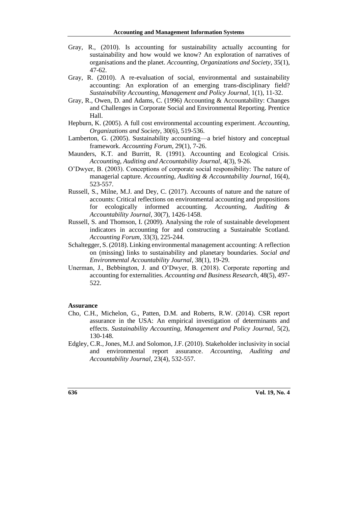- Gray, R., (2010). Is accounting for sustainability actually accounting for sustainability and how would we know? An exploration of narratives of organisations and the planet. *Accounting, Organizations and Society*, 35(1), 47-62.
- Gray, R. (2010). A re-evaluation of social, environmental and sustainability accounting: An exploration of an emerging trans-disciplinary field? *Sustainability Accounting, Management and Policy Journal,* 1(1), 11-32.
- Gray, R., Owen, D. and Adams, C. (1996) Accounting & Accountability: Changes and Challenges in Corporate Social and Environmental Reporting. Prentice Hall.
- Hepburn, K. (2005). A full cost environmental accounting experiment. *Accounting, Organizations and Society*, 30(6), 519-536.
- Lamberton, G. (2005). Sustainability accounting—a brief history and conceptual framework. *Accounting Forum*, 29(1), 7-26.
- Maunders, K.T. and Burritt, R. (1991). Accounting and Ecological Crisis. *Accounting, Auditing and Accountability Journal*, 4(3), 9-26.
- O'Dwyer, B. (2003). Conceptions of corporate social responsibility: The nature of managerial capture. *Accounting, Auditing & Accountability Journal*, 16(4), 523-557.
- Russell, S., Milne, M.J. and Dey, C. (2017). Accounts of nature and the nature of accounts: Critical reflections on environmental accounting and propositions for ecologically informed accounting. *Accounting, Auditing & Accountability Journal*, 30(7), 1426-1458.
- Russell, S. and Thomson, I. (2009). Analysing the role of sustainable development indicators in accounting for and constructing a Sustainable Scotland. *Accounting Forum*, 33(3), 225-244.
- Schaltegger, S. (2018). Linking environmental management accounting: A reflection on (missing) links to sustainability and planetary boundaries. *Social and Environmental Accountability Journal*, 38(1), 19-29.
- Unerman, J., Bebbington, J. and O'Dwyer, B. (2018). Corporate reporting and accounting for externalities. *Accounting and Business Research*, 48(5), 497- 522.

#### **Assurance**

- Cho, C.H., Michelon, G., Patten, D.M. and Roberts, R.W. (2014). CSR report assurance in the USA: An empirical investigation of determinants and effects. *Sustainability Accounting, Management and Policy Journal*, 5(2), 130-148.
- Edgley, C.R., Jones, M.J. and Solomon, J.F. (2010). Stakeholder inclusivity in social and environmental report assurance. *Accounting, Auditing and Accountability Journal*, 23(4), 532-557.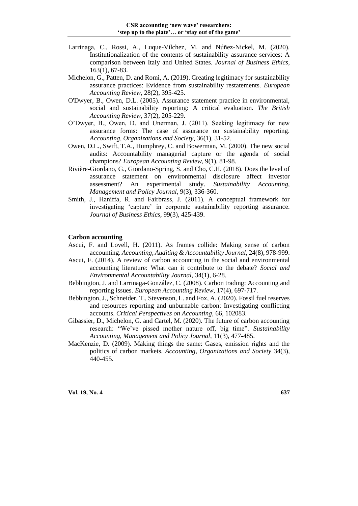- Larrinaga, C., Rossi, A., Luque-Vilchez, M. and Núñez-Nickel, M. (2020). Institutionalization of the contents of sustainability assurance services: A comparison between Italy and United States. *Journal of Business Ethics*, 163(1), 67-83.
- Michelon, G., Patten, D. and Romi, A. (2019). Creating legitimacy for sustainability assurance practices: Evidence from sustainability restatements. *European Accounting Review*, 28(2), 395-425.
- O'Dwyer, B., Owen, D.L. (2005). Assurance statement practice in environmental, social and sustainability reporting: A critical evaluation. *The British Accounting Review*, 37(2), 205-229.
- O'Dwyer, B., Owen, D. and Unerman, J. (2011). Seeking legitimacy for new assurance forms: The case of assurance on sustainability reporting. *Accounting, Organizations and Society*, 36(1), 31-52.
- Owen, D.L., Swift, T.A., Humphrey, C. and Bowerman, M. (2000). The new social audits: Accountability managerial capture or the agenda of social champions? *European Accounting Review*, 9(1), 81-98.
- Rivière-Giordano, G., Giordano-Spring, S. and Cho, C.H. (2018). Does the level of assurance statement on environmental disclosure affect investor assessment? An experimental study. *Sustainability Accounting, Management and Policy Journal*, 9(3), 336-360.
- Smith, J., Haniffa, R. and Fairbrass, J. (2011). A conceptual framework for investigating 'capture' in corporate sustainability reporting assurance. *Journal of Business Ethics*, 99(3), 425-439.

#### **Carbon accounting**

- Ascui, F. and Lovell, H. (2011). As frames collide: Making sense of carbon accounting. *Accounting, Auditing & Accountability Journal*, 24(8), 978-999.
- Ascui, F. (2014). A review of carbon accounting in the social and environmental accounting literature: What can it contribute to the debate? *Social and Environmental Accountability Journal*, 34(1), 6-28.
- Bebbington, J. and Larrinaga-González, C. (2008). Carbon trading: Accounting and reporting issues. *European Accounting Review*, 17(4), 697-717.
- Bebbington, J., Schneider, T., Stevenson, L. and Fox, A. (2020). Fossil fuel reserves and resources reporting and unburnable carbon: Investigating conflicting accounts. *Critical Perspectives on Accounting*, 66, 102083.
- Gibassier, D., Michelon, G. and Cartel, M. (2020). The future of carbon accounting research: "We've pissed mother nature off, big time". *Sustainability Accounting, Management and Policy Journal*, 11(3), 477-485.
- MacKenzie, D. (2009). Making things the same: Gases, emission rights and the politics of carbon markets. *Accounting, Organizations and Society* 34(3), 440-455.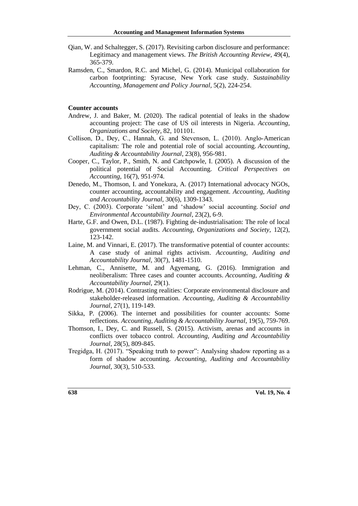- Qian, W. and Schaltegger, S. (2017). Revisiting carbon disclosure and performance: Legitimacy and management views. *The British Accounting Review*, 49(4), 365-379.
- Ramsden, C., Smardon, R.C. and Michel, G. (2014). Municipal collaboration for carbon footprinting: Syracuse, New York case study. *Sustainability Accounting, Management and Policy Journal,* 5(2), 224-254.

#### **Counter accounts**

- Andrew, J. and Baker, M. (2020). The radical potential of leaks in the shadow accounting project: The case of US oil interests in Nigeria. *Accounting, Organizations and Society*, 82, 101101.
- Collison, D., Dey, C., Hannah, G. and Stevenson, L. (2010). Anglo‐American capitalism: The role and potential role of social accounting. *Accounting, Auditing & Accountability Journal*, 23(8), 956-981.
- Cooper, C., Taylor, P., Smith, N. and Catchpowle, I. (2005). A discussion of the political potential of Social Accounting. *Critical Perspectives on Accounting*, 16(7), 951-974.
- Denedo, M., Thomson, I. and Yonekura, A. (2017) International advocacy NGOs, counter accounting, accountability and engagement. *Accounting, Auditing and Accountability Journal*, 30(6), 1309-1343.
- Dey, C. (2003). Corporate 'silent' and 'shadow' social accounting. *Social and Environmental Accountability Journal*, 23(2), 6-9.
- Harte, G.F. and Owen, D.L. (1987). Fighting de-industrialisation: The role of local government social audits. *Accounting, Organizations and Society*, 12(2), 123-142.
- Laine, M. and Vinnari, E. (2017). The transformative potential of counter accounts: A case study of animal rights activism. *Accounting, Auditing and Accountability Journal,* 30(7), 1481-1510.
- Lehman, C., Annisette, M. and Agyemang, G. (2016). Immigration and neoliberalism: Three cases and counter accounts. *Accounting, Auditing & Accountability Journal*, 29(1).
- Rodrigue, M. (2014). Contrasting realities: Corporate environmental disclosure and stakeholder-released information. *Accounting, Auditing & Accountability Journal,* 27(1), 119-149.
- Sikka, P. (2006). The internet and possibilities for counter accounts: Some reflections. *Accounting, Auditing & Accountability Journal*, 19(5), 759-769.
- Thomson, I., Dey, C. and Russell, S. (2015). Activism, arenas and accounts in conflicts over tobacco control. *Accounting, Auditing and Accountability Journal*, 28(5), 809-845.
- Tregidga, H. (2017). "Speaking truth to power": Analysing shadow reporting as a form of shadow accounting. *Accounting, Auditing and Accountability Journal*, 30(3), 510-533.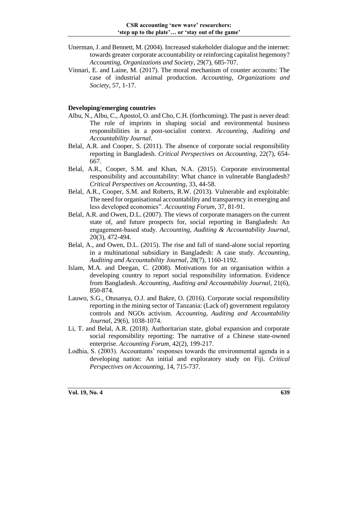- Unerman, J. and Bennett, M. (2004). Increased stakeholder dialogue and the internet: towards greater corporate accountability or reinforcing capitalist hegemony? *Accounting, Organizations and Society*, 29(7), 685-707.
- Vinnari, E. and Laine, M. (2017). The moral mechanism of counter accounts: The case of industrial animal production. *Accounting, Organizations and Society*, 57, 1-17.

#### **Developing/emerging countries**

- Albu, N., Albu, C., Apostol, O. and Cho, C.H. (forthcoming). The past is never dead: The role of imprints in shaping social and environmental business responsibilities in a post-socialist context. *Accounting, Auditing and Accountability Journal*.
- Belal, A.R. and Cooper, S. (2011). The absence of corporate social responsibility reporting in Bangladesh. *Critical Perspectives on Accounting*, 22(7), 654- 667.
- Belal, A.R., Cooper, S.M. and Khan, N.A. (2015). Corporate environmental responsibility and accountability: What chance in vulnerable Bangladesh? *Critical Perspectives on Accounting*, 33, 44-58.
- Belal, A.R., Cooper, S.M. and Roberts, R.W. (2013). Vulnerable and exploitable: The need for organisational accountability and transparency in emerging and less developed economies". *Accounting Forum*, 37, 81-91.
- Belal, A.R. and Owen, D.L. (2007). The views of corporate managers on the current state of, and future prospects for, social reporting in Bangladesh: An engagement‐based study. *Accounting, Auditing & Accountability Journal*, 20(3), 472-494.
- Belal, A., and Owen, D.L. (2015). The rise and fall of stand-alone social reporting in a multinational subsidiary in Bangladesh: A case study. *Accounting, Auditing and Accountability Journal*, 28(7), 1160-1192.
- Islam, M.A. and Deegan, C. (2008). Motivations for an organisation within a developing country to report social responsibility information. Evidence from Bangladesh. *Accounting, Auditing and Accountability Journal*, 21(6), 850-874.
- Lauwo, S.G., Otusanya, O.J. and Bakre, O. (2016). Corporate social responsibility reporting in the mining sector of Tanzania: (Lack of) government regulatory controls and NGOs activism. *Accounting, Auditing and Accountability Journal*, 29(6), 1038-1074.
- Li, T. and Belal, A.R. (2018). Authoritarian state, global expansion and corporate social responsibility reporting: The narrative of a Chinese state-owned enterprise. *Accounting Forum*, 42(2), 199-217.
- Lodhia, S. (2003). Accountants' responses towards the environmental agenda in a developing nation: An initial and exploratory study on Fiji. *Critical Perspectives on Accounting*, 14, 715-737.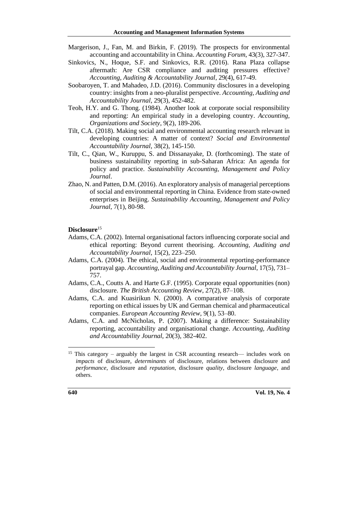- Margerison, J., Fan, M. and Birkin, F. (2019). The prospects for environmental accounting and accountability in China. *Accounting Forum*, 43(3), 327-347.
- Sinkovics, N., Hoque, S.F. and Sinkovics, R.R. (2016). Rana Plaza collapse aftermath: Are CSR compliance and auditing pressures effective? *Accounting, Auditing & Accountability Journal*, 29(4), 617-49.
- Soobaroyen, T. and Mahadeo, J.D. (2016). Community disclosures in a developing country: insights from a neo-pluralist perspective. *Accounting, Auditing and Accountability Journal*, 29(3), 452-482.
- Teoh, H.Y. and G. Thong. (1984). Another look at corporate social responsibility and reporting: An empirical study in a developing country. *Accounting, Organizations and Society*, 9(2), 189-206.
- Tilt, C.A. (2018). Making social and environmental accounting research relevant in developing countries: A matter of context? *Social and Environmental Accountability Journal*, 38(2), 145-150.
- Tilt, C., Qian, W., Kuruppu, S. and Dissanayake, D. (forthcoming). The state of business sustainability reporting in sub-Saharan Africa: An agenda for policy and practice. *Sustainability Accounting, Management and Policy Journal*.
- Zhao, N. and Patten, D.M. (2016). An exploratory analysis of managerial perceptions of social and environmental reporting in China. Evidence from state-owned enterprises in Beijing. *Sustainability Accounting, Management and Policy Journal*, 7(1), 80-98.

#### **Disclosure**<sup>15</sup>

- Adams, C.A. (2002). Internal organisational factors influencing corporate social and ethical reporting: Beyond current theorising. *Accounting, Auditing and Accountability Journal*, 15(2), 223–250.
- Adams, C.A. (2004). The ethical, social and environmental reporting-performance portrayal gap. *Accounting, Auditing and Accountability Journal*, 17(5), 731– 757.
- Adams, C.A., Coutts A. and Harte G.F. (1995). Corporate equal opportunities (non) disclosure. *The British Accounting Review*, 27(2), 87–108.
- Adams, C.A. and Kuasirikun N. (2000). A comparative analysis of corporate reporting on ethical issues by UK and German chemical and pharmaceutical companies. *European Accounting Review*, 9(1), 53–80.
- Adams, C.A. and McNicholas, P. (2007). Making a difference: Sustainability reporting, accountability and organisational change. *Accounting, Auditing and Accountability Journal*, 20(3), 382-402.

<sup>&</sup>lt;sup>15</sup> This category – arguably the largest in CSR accounting research— includes work on *impacts* of disclosure, *determinants* of disclosure, relations between disclosure and *performance*, disclosure and *reputation*, disclosure *quality*, disclosure *language*, and others.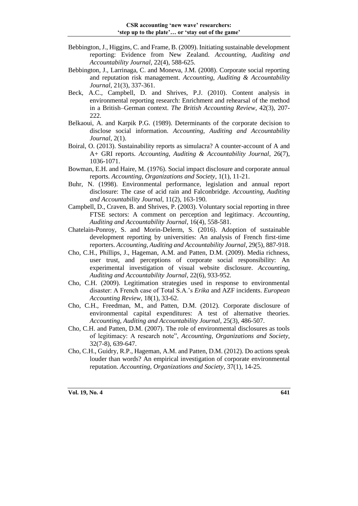- Bebbington, J., Higgins, C. and Frame, B. (2009). Initiating sustainable development reporting: Evidence from New Zealand. *Accounting, Auditing and Accountability Journal*, 22(4), 588-625.
- Bebbington, J., Larrinaga, C. and Moneva, J.M. (2008). Corporate social reporting and reputation risk management. *Accounting, Auditing & Accountability Journal*, 21(3), 337-361.
- Beck, A.C., Campbell, D. and Shrives, P.J. (2010). Content analysis in environmental reporting research: Enrichment and rehearsal of the method in a British–German context. *The British Accounting Review*, 42(3), 207- 222.
- Belkaoui, A. and Karpik P.G. (1989). Determinants of the corporate decision to disclose social information. *Accounting, Auditing and Accountability Journal*, 2(1).
- Boiral, O. (2013). Sustainability reports as simulacra? A counter-account of A and A+ GRI reports. *Accounting, Auditing & Accountability Journal*, 26(7), 1036-1071.
- Bowman, E.H. and Haire, M. (1976). Social impact disclosure and corporate annual reports. *Accounting, Organizations and Society*, 1(1), 11-21.
- Buhr, N. (1998). Environmental performance, legislation and annual report disclosure: The case of acid rain and Falconbridge. *Accounting, Auditing and Accountability Journal*, 11(2), 163-190.
- Campbell, D., Craven, B. and Shrives, P. (2003). Voluntary social reporting in three FTSE sectors: A comment on perception and legitimacy. *Accounting, Auditing and Accountability Journal*, 16(4), 558-581.
- Chatelain-Ponroy, S. and Morin-Delerm, S. (2016). Adoption of sustainable development reporting by universities: An analysis of French first-time reporters. *Accounting, Auditing and Accountability Journal*, 29(5), 887-918.
- Cho, C.H., Phillips, J., Hageman, A.M. and Patten, D.M. (2009). Media richness, user trust, and perceptions of corporate social responsibility: An experimental investigation of visual website disclosure. *Accounting, Auditing and Accountability Journal*, 22(6), 933-952.
- Cho, C.H. (2009). Legitimation strategies used in response to environmental disaster: A French case of Total S.A.'s *Erika* and AZF incidents. *European Accounting Review*, 18(1), 33-62.
- Cho, C.H., Freedman, M., and Patten, D.M. (2012). Corporate disclosure of environmental capital expenditures: A test of alternative theories. *Accounting, Auditing and Accountability Journal*, 25(3), 486-507.
- Cho, C.H. and Patten, D.M. (2007). The role of environmental disclosures as tools of legitimacy: A research note", *Accounting, Organizations and Society*, 32(7-8), 639-647.
- Cho, C.H., Guidry, R.P., Hageman, A.M. and Patten, D.M. (2012). Do actions speak louder than words? An empirical investigation of corporate environmental reputation. *Accounting, Organizations and Society*, 37(1), 14-25.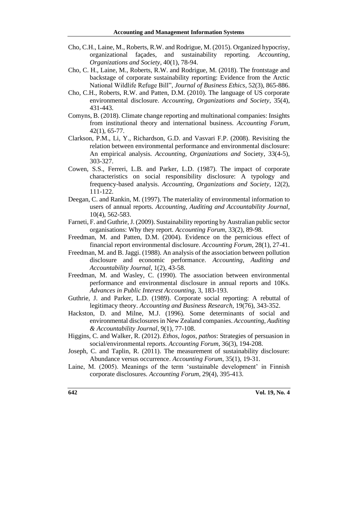- Cho, C.H., Laine, M., Roberts, R.W. and Rodrigue, M. (2015). Organized hypocrisy, organizational façades, and sustainability reporting. *Accounting, Organizations and Society*, 40(1), 78-94.
- Cho, C. H., Laine, M., Roberts, R.W. and Rodrigue, M. (2018). The frontstage and backstage of corporate sustainability reporting: Evidence from the Arctic National Wildlife Refuge Bill", *Journal of Business Ethics*, 52(3), 865-886.
- Cho, C.H., Roberts, R.W. and Patten, D.M. (2010). The language of US corporate environmental disclosure. *Accounting, Organizations and Society*, 35(4), 431-443.
- Comyns, B. (2018). Climate change reporting and multinational companies: Insights from institutional theory and international business. *Accounting Forum*, 42(1), 65-77.
- Clarkson, P.M., Li, Y., Richardson, G.D. and Vasvari F.P. (2008). Revisiting the relation between environmental performance and environmental disclosure: An empirical analysis. *Accounting, Organizations and* Society, 33(4-5), 303-327.
- Cowen, S.S., Ferreri, L.B. and Parker, L.D. (1987). The impact of corporate characteristics on social responsibility disclosure: A typology and frequency-based analysis. *Accounting, Organizations and Society*, 12(2), 111-122.
- Deegan, C. and Rankin, M. (1997). The materiality of environmental information to users of annual reports. *Accounting, Auditing and Accountability Journal*, 10(4), 562-583.
- Farneti, F. and Guthrie, J. (2009). Sustainability reporting by Australian public sector organisations: Why they report. *Accounting Forum*, 33(2), 89-98.
- Freedman, M. and Patten, D.M. (2004). Evidence on the pernicious effect of financial report environmental disclosure. *Accounting Forum*, 28(1), 27-41.
- Freedman, M. and B. Jaggi. (1988). An analysis of the association between pollution disclosure and economic performance. *Accounting, Auditing and Accountability Journal*, 1(2), 43-58.
- Freedman, M. and Wasley, C. (1990). The association between environmental performance and environmental disclosure in annual reports and 10Ks. *Advances in Public Interest Accounting*, 3, 183-193.
- Guthrie, J. and Parker, L.D. (1989). Corporate social reporting: A rebuttal of legitimacy theory. *Accounting and Business Research*, 19(76), 343-352.
- Hackston, D. and Milne, M.J. (1996). Some determinants of social and environmental disclosures in New Zealand companies. *Accounting, Auditing & Accountability Journal*, 9(1), 77-108.
- Higgins, C. and Walker, R. (2012). *Ethos*, *logos*, *pathos*: Strategies of persuasion in social/environmental reports. *Accounting Forum*, 36(3), 194-208.
- Joseph, C. and Taplin, R. (2011). The measurement of sustainability disclosure: Abundance versus occurrence. *Accounting Forum*, 35(1), 19-31.
- Laine, M. (2005). Meanings of the term 'sustainable development' in Finnish corporate disclosures. *Accounting Forum*, 29(4), 395-413.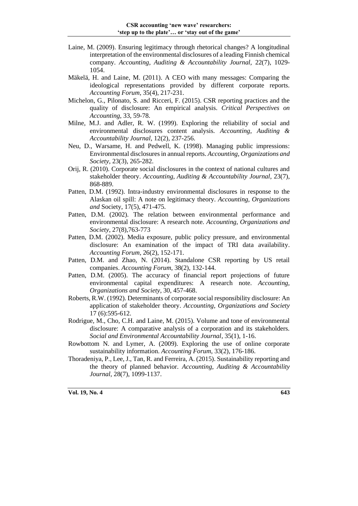- Laine, M. (2009). Ensuring legitimacy through rhetorical changes? A longitudinal interpretation of the environmental disclosures of a leading Finnish chemical company. *Accounting, Auditing & Accountability Journal,* 22(7), 1029- 1054.
- Mäkelä, H. and Laine, M. (2011). A CEO with many messages: Comparing the ideological representations provided by different corporate reports. *Accounting Forum*, 35(4), 217-231.
- Michelon, G., Pilonato, S. and Ricceri, F. (2015). CSR reporting practices and the quality of disclosure: An empirical analysis. *Critical Perspectives on Accounting*, 33, 59-78.
- Milne, M.J. and Adler, R. W. (1999). Exploring the reliability of social and environmental disclosures content analysis. *Accounting, Auditing & Accountability Journal*, 12(2), 237-256.
- Neu, D., Warsame, H. and Pedwell, K. (1998). Managing public impressions: Environmental disclosures in annual reports. *Accounting, Organizations and Society*, 23(3), 265-282.
- Orij, R. (2010). Corporate social disclosures in the context of national cultures and stakeholder theory. *Accounting, Auditing & Accountability Journal*, 23(7), 868-889.
- Patten, D.M. (1992). Intra-industry environmental disclosures in response to the Alaskan oil spill: A note on legitimacy theory. *Accounting, Organizations and* Society, 17(5), 471-475.
- Patten, D.M. (2002). The relation between environmental performance and environmental disclosure: A research note. *Accounting, Organizations and Society*, 27(8),763-773
- Patten, D.M. (2002). Media exposure, public policy pressure, and environmental disclosure: An examination of the impact of TRI data availability. *Accounting Forum*, 26(2), 152-171.
- Patten, D.M. and Zhao, N. (2014). Standalone CSR reporting by US retail companies. *Accounting Forum*, 38(2), 132-144.
- Patten, D.M. (2005). The accuracy of financial report projections of future environmental capital expenditures: A research note. *Accounting, Organizations and Society*, 30, 457-468.
- Roberts, R.W. (1992). Determinants of corporate social responsibility disclosure: An application of stakeholder theory. *Accounting, Organizations and Society*  17 (6):595-612.
- Rodrigue, M., Cho, C.H. and Laine, M. (2015). Volume and tone of environmental disclosure: A comparative analysis of a corporation and its stakeholders. *Social and Environmental Accountability Journal*, 35(1), 1-16.
- Rowbottom N. and Lymer, A. (2009). Exploring the use of online corporate sustainability information. *Accounting Forum*, 33(2), 176-186.
- Thoradeniya, P., Lee, J., Tan, R. and Ferreira, A. (2015). Sustainability reporting and the theory of planned behavior. *Accounting, Auditing & Accountability Journal*, 28(7), 1099-1137.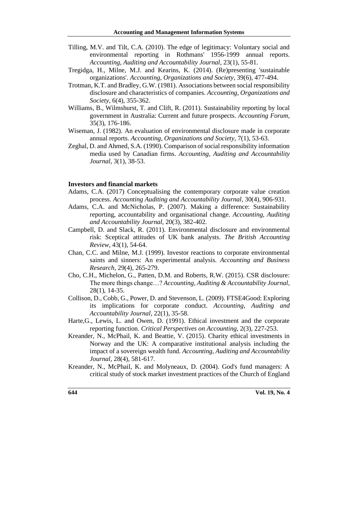- Tilling, M.V. and Tilt, C.A. (2010). The edge of legitimacy: Voluntary social and environmental reporting in Rothmans' 1956-1999 annual reports. *Accounting, Auditing and Accountability Journal*, 23(1), 55-81.
- Tregidga, H., Milne, M.J. and Kearins, K. (2014). (Re)presenting 'sustainable organizations'. *Accounting, Organizations and Society*, 39(6), 477-494.
- Trotman, K.T. and Bradley, G.W. (1981). Associations between social responsibility disclosure and characteristics of companies. *Accounting, Organizations and Society*, 6(4), 355-362.
- Williams, B., Wilmshurst, T. and Clift, R. (2011). Sustainability reporting by local government in Australia: Current and future prospects. *Accounting Forum*, 35(3), 176-186.
- Wiseman, J. (1982). An evaluation of environmental disclosure made in corporate annual reports. *Accounting, Organizations and Society*, 7(1), 53-63.
- Zeghal, D. and Ahmed, S.A. (1990). Comparison of social responsibility information media used by Canadian firms. *Accounting, Auditing and Accountability Journal*, 3(1), 38-53.

#### **Investors and financial markets**

- Adams, C.A. (2017) Conceptualising the contemporary corporate value creation process. *Accounting Auditing and Accountability Journal*, 30(4), 906-931.
- Adams, C.A. and McNicholas, P. (2007). Making a difference: Sustainability reporting, accountability and organisational change. *Accounting, Auditing and Accountability Journal*, 20(3), 382-402.
- Campbell, D. and Slack, R. (2011). Environmental disclosure and environmental risk: Sceptical attitudes of UK bank analysts. *The British Accounting Review*, 43(1), 54-64.
- Chan, C.C. and Milne, M.J. (1999). Investor reactions to corporate environmental saints and sinners: An experimental analysis. *Accounting and Business Research*, 29(4), 265-279.
- Cho, C.H., Michelon, G., Patten, D.M. and Roberts, R.W. (2015). CSR disclosure: The more things change…? *Accounting, Auditing & Accountability Journal*, 28(1), 14-35.
- Collison, D., Cobb, G., Power, D. and Stevenson, L. (2009). FTSE4Good: Exploring its implications for corporate conduct. *Accounting, Auditing and Accountability Journal*, 22(1), 35-58.
- Harte,G., Lewis, L. and Owen, D. (1991). Ethical investment and the corporate reporting function. *Critical Perspectives on Accounting*, 2(3), 227-253.
- Kreander, N., McPhail, K. and Beattie, V. (2015). Charity ethical investments in Norway and the UK: A comparative institutional analysis including the impact of a sovereign wealth fund. *Accounting, Auditing and Accountability Journal*, 28(4), 581-617.
- Kreander, N., McPhail, K. and Molyneaux, D. (2004). God's fund managers: A critical study of stock market investment practices of the Church of England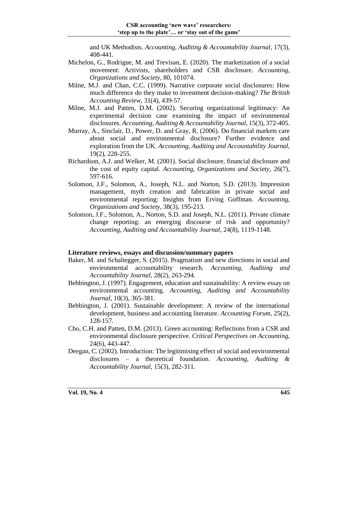and UK Methodists. *Accounting, Auditing & Accountability Journal*, 17(3), 408-441.

- Michelon, G., Rodrigue, M. and Trevisan, E. (2020). The marketization of a social movement: Activists, shareholders and CSR disclosure. *Accounting, Organizations and Society*, 80, 101074.
- Milne, M.J. and Chan, C.C. (1999). Narrative corporate social disclosures: How much difference do they make to investment decision-making? *The British Accounting Review*, 31(4), 439-57.
- Milne, M.J. and Patten, D.M. (2002). Securing organizational legitimacy: An experimental decision case examining the impact of environmental disclosures. *Accounting, Auditing & Accountability Journal*, 15(3), 372-405.
- Murray, A., Sinclair, D., Power, D. and Gray, R. (2006). Do financial markets care about social and environmental disclosure? Further evidence and exploration from the UK. *Accounting, Auditing and Accountability Journal*, 19(2), 228-255.
- Richardson, A.J. and Welker, M. (2001). Social disclosure, financial disclosure and the cost of equity capital. *Accounting, Organizations and Society*, 26(7), 597-616.
- Solomon, J.F., Solomon, A., Joseph, N.L. and Norton, S.D. (2013). Impression management, myth creation and fabrication in private social and environmental reporting: Insights from Erving Goffman. *Accounting, Organizations and Society*, 38(3), 195-213.
- Solomon, J.F., Solomon, A., Norton, S.D. and Joseph, N.L. (2011). Private climate change reporting: an emerging discourse of risk and opportunity? *Accounting, Auditing and Accountability Journal*, 24(8), 1119-1148.

#### **Literature reviews, essays and discussion/summary papers**

- Baker, M. and Schaltegger, S. (2015). Pragmatism and new directions in social and environmental accountability research. *Accounting, Auditing and Accountability Journal*, 28(2), 263-294.
- Bebbington, J. (1997). Engagement, education and sustainability: A review essay on environmental accounting. *Accounting, Auditing and Accountability Journal*, 10(3), 365-381.
- Bebbington, J. (2001). Sustainable development: A review of the international development, business and accounting literature. *Accounting Forum*, 25(2), 128-157.
- Cho, C.H. and Patten, D.M. (2013). Green accounting: Reflections from a CSR and environmental disclosure perspective. *Critical Perspectives on Accounting*, 24(6), 443-447.
- Deegan, C. (2002). Introduction: The legitimising effect of social and environmental disclosures – a theoretical foundation. *Accounting, Auditing & Accountability Journal*, 15(3), 282-311.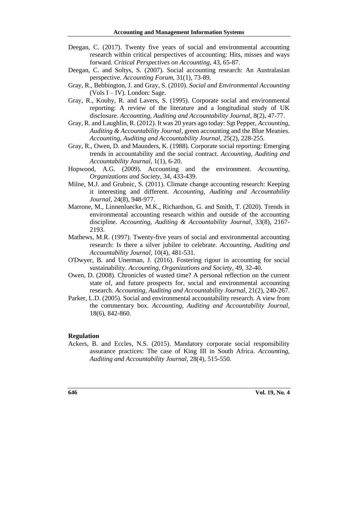- Deegan, C. (2017). Twenty five years of social and environmental accounting research within critical perspectives of accounting: Hits, misses and ways forward. *Critical Perspectives on Accounting*, 43, 65-87.
- Deegan, C. and Soltys, S. (2007). Social accounting research: An Australasian perspective. *Accounting Forum*, 31(1), 73-89.
- Gray, R., Bebbington, J. and Gray, S. (2010). *Social and Environmental Accounting* (Vols  $I - IV$ ). London: Sage.
- Gray, R., Kouhy, R. and Lavers, S. (1995). Corporate social and environmental reporting: A review of the literature and a longitudinal study of UK disclosure. *Accounting, Auditing and Accountability Journal*, 8(2), 47-77.
- Gray, R. and Laughlin, R. (2012). It was 20 years ago today: Sgt Pepper, *Accounting, Auditing & Accountability Journal*, green accounting and the Blue Meanies. *Accounting, Auditing and Accountability Journal*, 25(2), 228-255.
- Gray, R., Owen, D. and Maunders, K. (1988). Corporate social reporting: Emerging trends in accountability and the social contract. *Accounting, Auditing and Accountability Journal*, 1(1), 6-20.
- Hopwood, A.G. (2009). Accounting and the environment. *Accounting, Organizations and Society*, 34, 433-439.
- Milne, M.J. and Grubnic, S. (2011). Climate change accounting research: Keeping it interesting and different. *Accounting, Auditing and Accountability Journal*, 24(8), 948-977.
- Marrone, M., Linnenluecke, M.K., Richardson, G. and Smith, T. (2020). Trends in environmental accounting research within and outside of the accounting discipline. *Accounting, Auditing & Accountability Journal*, 33(8), 2167- 2193.
- Mathews, M.R. (1997). Twenty-five years of social and environmental accounting research: Is there a silver jubilee to celebrate. *Accounting, Auditing and Accountability Journal,* 10(4), 481-531.
- O'Dwyer, B. and Unerman, J. (2016). Fostering rigour in accounting for social sustainability. *Accounting, Organizations and Society*, 49, 32-40.
- Owen, D. (2008). Chronicles of wasted time? A personal reflection on the current state of, and future prospects for, social and environmental accounting research. *Accounting, Auditing and Accountability Journal*, 21(2), 240-267.
- Parker, L.D. (2005). Social and environmental accountability research. A view from the commentary box. *Accounting, Auditing and Accountability Journal*, 18(6), 842-860.

#### **Regulation**

Ackers, B. and Eccles, N.S. (2015). Mandatory corporate social responsibility assurance practices: The case of King III in South Africa. *Accounting, Auditing and Accountability Journal*, 28(4), 515-550.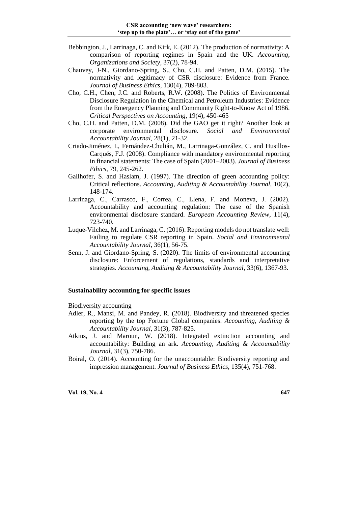- Bebbington, J., Larrinaga, C. and Kirk, E. (2012). The production of normativity: A comparison of reporting regimes in Spain and the UK. *Accounting, Organizations and Society*, 37(2), 78-94.
- Chauvey, J-N., Giordano-Spring, S., Cho, C.H. and Patten, D.M. (2015). The normativity and legitimacy of CSR disclosure: Evidence from France. *Journal of Business Ethics*, 130(4), 789-803.
- Cho, C.H., Chen, J.C. and Roberts, R.W. (2008). The Politics of Environmental Disclosure Regulation in the Chemical and Petroleum Industries: Evidence from the Emergency Planning and Community Right-to-Know Act of 1986. *Critical Perspectives on Accounting*, 19(4), 450-465
- Cho, C.H. and Patten, D.M. (2008). Did the GAO get it right? Another look at corporate environmental disclosure. *Social and Environmental Accountability Journal*, 28(1), 21-32.
- Criado-Jiménez, I., Fernández-Chulián, M., Larrinaga-González, C. and Husillos-Carqués, F.J. (2008). Compliance with mandatory environmental reporting in financial statements: The case of Spain (2001–2003). *Journal of Business Ethics*, 79, 245-262.
- Gallhofer, S. and Haslam, J. (1997). The direction of green accounting policy: Critical reflections. *Accounting, Auditing & Accountability Journal*, 10(2), 148-174.
- Larrinaga, C., Carrasco, F., Correa, C., Llena, F. and Moneva, J. (2002). Accountability and accounting regulation: The case of the Spanish environmental disclosure standard. *European Accounting Review*, 11(4), 723-740.
- Luque-Vilchez, M. and Larrinaga, C. (2016). Reporting models do not translate well: Failing to regulate CSR reporting in Spain. *Social and Environmental Accountability Journal*, 36(1), 56-75.
- Senn, J. and Giordano-Spring, S. (2020). The limits of environmental accounting disclosure: Enforcement of regulations, standards and interpretative strategies. *Accounting, Auditing & Accountability Journal*, 33(6), 1367-93.

### **Sustainability accounting for specific issues**

Biodiversity accounting

- Adler, R., Mansi, M. and Pandey, R. (2018). Biodiversity and threatened species reporting by the top Fortune Global companies. *Accounting, Auditing & Accountability Journal*, 31(3), 787-825.
- Atkins, J. and Maroun, W. (2018). Integrated extinction accounting and accountability: Building an ark. *Accounting, Auditing & Accountability Journal*, 31(3), 750-786.
- Boiral, O. (2014). Accounting for the unaccountable: Biodiversity reporting and impression management. *Journal of Business Ethics*, 135(4), 751-768.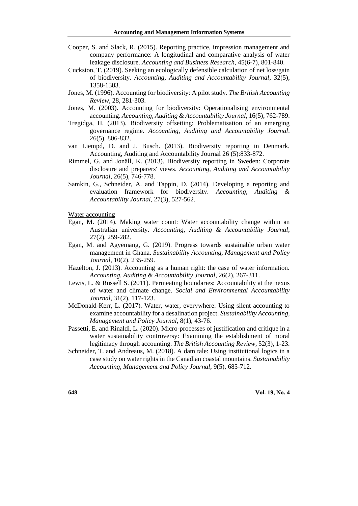- Cooper, S. and Slack, R. (2015). Reporting practice, impression management and company performance: A longitudinal and comparative analysis of water leakage disclosure. *Accounting and Business Research*, 45(6-7), 801-840.
- Cuckston, T. (2019). Seeking an ecologically defensible calculation of net loss/gain of biodiversity. *Accounting, Auditing and Accountability Journal*, 32(5), 1358-1383.
- Jones, M. (1996). Accounting for biodiversity: A pilot study. *The British Accounting Review*, 28, 281-303.
- Jones, M. (2003). Accounting for biodiversity: Operationalising environmental accounting. *Accounting, Auditing & Accountability Journal*, 16(5), 762-789.
- Tregidga, H. (2013). Biodiversity offsetting: Problematisation of an emerging governance regime. *Accounting, Auditing and Accountability Journal*. 26(5), 806-832.
- van Liempd, D. and J. Busch. (2013). Biodiversity reporting in Denmark. Accounting, Auditing and Accountability Journal 26 (5):833-872.
- Rimmel, G. and Jonäll, K. (2013). Biodiversity reporting in Sweden: Corporate disclosure and preparers' views. *Accounting, Auditing and Accountability Journal*, 26(5), 746-778.
- Samkin, G., Schneider, A. and Tappin, D. (2014). Developing a reporting and evaluation framework for biodiversity. *Accounting, Auditing & Accountability Journal*, 27(3), 527-562.
- Water accounting
- Egan, M. (2014). Making water count: Water accountability change within an Australian university. *Accounting, Auditing & Accountability Journal*, 27(2), 259-282.
- Egan, M. and Agyemang, G. (2019). Progress towards sustainable urban water management in Ghana. *Sustainability Accounting, Management and Policy Journal*, 10(2), 235-259.
- Hazelton, J. (2013). Accounting as a human right: the case of water information. *Accounting, Auditing & Accountability Journal*, 26(2), 267-311.
- Lewis, L. & Russell S. (2011). Permeating boundaries: Accountability at the nexus of water and climate change. *Social and Environmental Accountability Journal*, 31(2), 117-123.
- McDonald-Kerr, L. (2017). Water, water, everywhere: Using silent accounting to examine accountability for a desalination project. *Sustainability Accounting, Management and Policy Journal,* 8(1), 43-76.
- Passetti, E. and Rinaldi, L. (2020). Micro-processes of justification and critique in a water sustainability controversy: Examining the establishment of moral legitimacy through accounting. *The British Accounting Review*, 52(3), 1-23.
- Schneider, T. and Andreaus, M. (2018). A dam tale: Using institutional logics in a case study on water rights in the Canadian coastal mountains. *Sustainability Accounting, Management and Policy Journal*, 9(5), 685-712.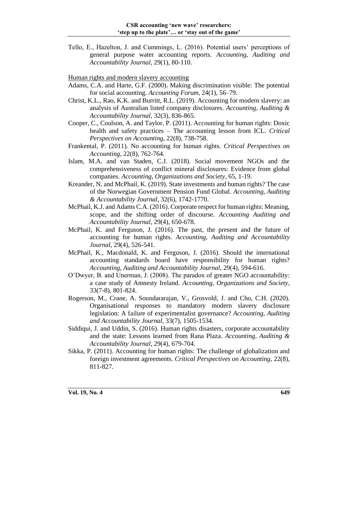Tello, E., Hazelton, J. and Cummings, L. (2016). Potential users' perceptions of general purpose water accounting reports. *Accounting, Auditing and Accountability Journal*, 29(1), 80-110.

Human rights and modern slavery accounting

- Adams, C.A. and Harte, G.F. (2000). Making discrimination visible: The potential for social accounting. *Accounting Forum*, 24(1), 56–79.
- Christ, K.L., Rao, K.K. and Burritt, R.L. (2019). Accounting for modern slavery: an analysis of Australian listed company disclosures. *Accounting, Auditing & Accountability Journal*, 32(3), 836-865.
- Cooper, C., Coulson, A. and Taylor, P. (2011). Accounting for human rights: Doxic health and safety practices – The accounting lesson from ICL. *Critical Perspectives on Accounting*, 22(8), 738-758.
- Frankental, P. (2011). No accounting for human rights. *Critical Perspectives on Accounting*, 22(8), 762-764.
- Islam, M.A. and van Staden, C.J. (2018). Social movement NGOs and the comprehensiveness of conflict mineral disclosures: Evidence from global companies. *Accounting, Organizations and Society*, 65, 1-19.
- Kreander, N. and McPhail, K. (2019). State investments and human rights? The case of the Norwegian Government Pension Fund Global. *Accounting, Auditing & Accountability Journal*, 32(6), 1742-1770.
- McPhail, K.J. and Adams C.A. (2016). Corporate respect for human rights: Meaning, scope, and the shifting order of discourse. *Accounting Auditing and Accountability Journal*, 29(4), 650-678.
- McPhail, K. and Ferguson, J. (2016). The past, the present and the future of accounting for human rights. *Accounting, Auditing and Accountability Journal*, 29(4), 526-541.
- McPhail, K., Macdonald, K. and Ferguson, J. (2016). Should the international accounting standards board have responsibility for human rights? *Accounting, Auditing and Accountability Journal*, 29(4), 594-616.
- O'Dwyer, B. and Unerman, J. (2008). The paradox of greater NGO accountability: a case study of Amnesty Ireland. *Accounting, Organizations and Society*, 33(7-8), 801-824.
- Rogerson, M., Crane, A. Soundararajan, V., Grosvold, J. and Cho, C.H. (2020). Organisational responses to mandatory modern slavery disclosure legislation: A failure of experimentalist governance? *Accounting, Auditing and Accountability Journal*, 33(7), 1505-1534.
- Siddiqui, J. and Uddin, S. (2016). Human rights disasters, corporate accountability and the state: Lessons learned from Rana Plaza. *Accounting, Auditing & Accountability Journal*, 29(4), 679-704.
- Sikka, P. (2011). Accounting for human rights: The challenge of globalization and foreign investment agreements. *Critical Perspectives on Accounting*, 22(8), 811-827.